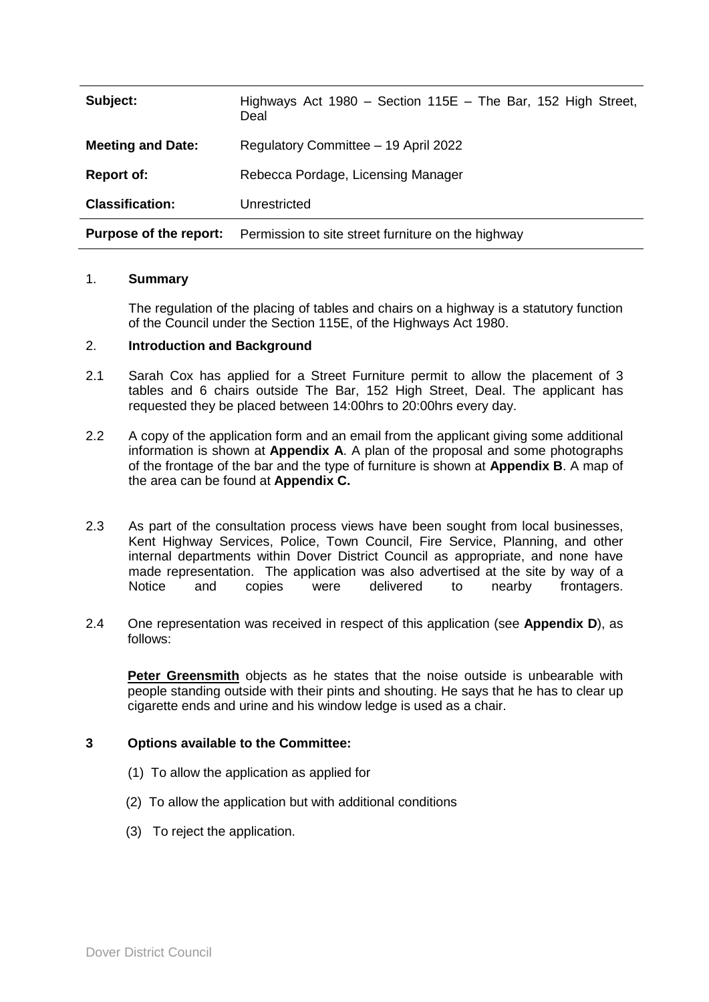| Subject:                      | Highways Act 1980 – Section 115E – The Bar, 152 High Street,<br>Deal |
|-------------------------------|----------------------------------------------------------------------|
| <b>Meeting and Date:</b>      | Regulatory Committee - 19 April 2022                                 |
| <b>Report of:</b>             | Rebecca Pordage, Licensing Manager                                   |
| <b>Classification:</b>        | Unrestricted                                                         |
| <b>Purpose of the report:</b> | Permission to site street furniture on the highway                   |

## 1. **Summary**

The regulation of the placing of tables and chairs on a highway is a statutory function of the Council under the Section 115E, of the Highways Act 1980.

## 2. **Introduction and Background**

- 2.1 Sarah Cox has applied for a Street Furniture permit to allow the placement of 3 tables and 6 chairs outside The Bar, 152 High Street, Deal. The applicant has requested they be placed between 14:00hrs to 20:00hrs every day.
- 2.2 A copy of the application form and an email from the applicant giving some additional information is shown at **Appendix A**. A plan of the proposal and some photographs of the frontage of the bar and the type of furniture is shown at **Appendix B**. A map of the area can be found at **Appendix C.**
- 2.3 As part of the consultation process views have been sought from local businesses, Kent Highway Services, Police, Town Council, Fire Service, Planning, and other internal departments within Dover District Council as appropriate, and none have made representation. The application was also advertised at the site by way of a Notice and copies were delivered to nearby frontagers.
- 2.4 One representation was received in respect of this application (see **Appendix D**), as follows:

**Peter Greensmith** objects as he states that the noise outside is unbearable with people standing outside with their pints and shouting. He says that he has to clear up cigarette ends and urine and his window ledge is used as a chair.

## **3 Options available to the Committee:**

- (1) To allow the application as applied for
- (2) To allow the application but with additional conditions
- (3) To reject the application.